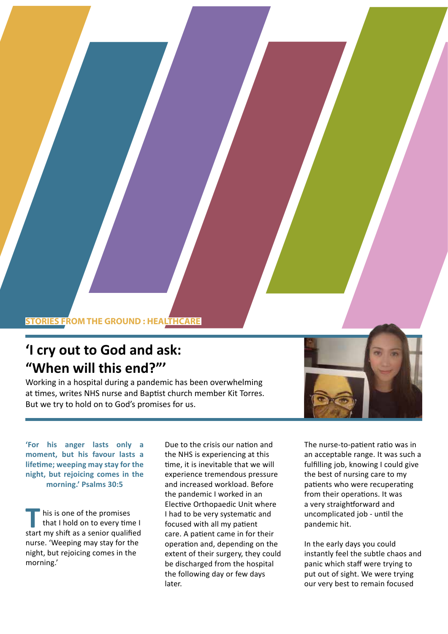## **STORIES FROM THE GROUND : HEALTHCARE**

## **'I cry out to God and ask: "When will this end?"'**

Working in a hospital during a pandemic has been overwhelming at times, writes NHS nurse and Baptist church member Kit Torres. But we try to hold on to God's promises for us.

**'For his anger lasts only a moment, but his favour lasts a lifetime; weeping may stay for the night, but rejoicing comes in the morning.' Psalms 30:5** 

his is one of the promises that I hold on to every time I his is one of the promises<br>that I hold on to every time I<br>start my shift as a senior qualified nurse. 'Weeping may stay for the night, but rejoicing comes in the morning.'

Due to the crisis our nation and the NHS is experiencing at this time, it is inevitable that we will experience tremendous pressure and increased workload. Before the pandemic I worked in an Elective Orthopaedic Unit where I had to be very systematic and focused with all my patient care. A patient came in for their operation and, depending on the extent of their surgery, they could be discharged from the hospital the following day or few days later.

The nurse-to-patient ratio was in an acceptable range. It was such a fulfilling job, knowing I could give the best of nursing care to my patients who were recuperating from their operations. It was a very straightforward and uncomplicated job - until the pandemic hit.

In the early days you could instantly feel the subtle chaos and panic which staff were trying to put out of sight. We were trying our very best to remain focused